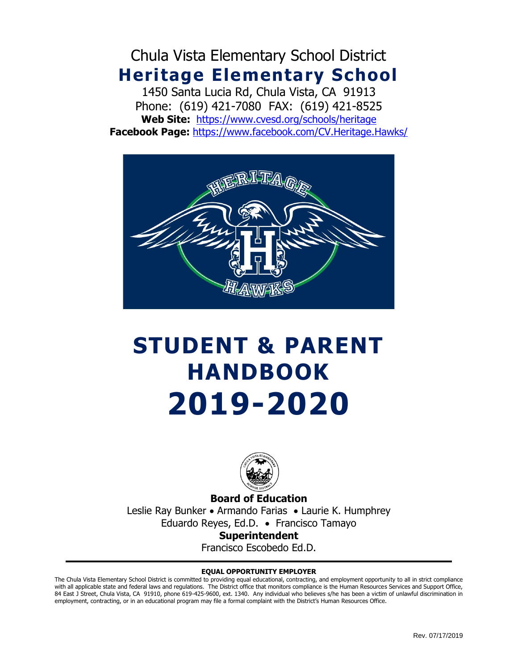Chula Vista Elementary School District **Heritage Elementary School**

1450 Santa Lucia Rd, Chula Vista, CA 91913 Phone: (619) 421-7080 FAX: (619) 421-8525 **Web Site:** <https://www.cvesd.org/schools/heritage> **Facebook Page:** <https://www.facebook.com/CV.Heritage.Hawks/>



# **STUDENT & PARENT HANDBOOK 2019-2020**



**Board of Education** Leslie Ray Bunker • Armando Farias • Laurie K. Humphrey Eduardo Reyes, Ed.D. • Francisco Tamayo **Superintendent**

Francisco Escobedo Ed.D.

#### **EQUAL OPPORTUNITY EMPLOYER**

The Chula Vista Elementary School District is committed to providing equal educational, contracting, and employment opportunity to all in strict compliance with all applicable state and federal laws and regulations. The District office that monitors compliance is the Human Resources Services and Support Office, 84 East J Street, Chula Vista, CA 91910, phone 619-425-9600, ext. 1340. Any individual who believes s/he has been a victim of unlawful discrimination in employment, contracting, or in an educational program may file a formal complaint with the District's Human Resources Office.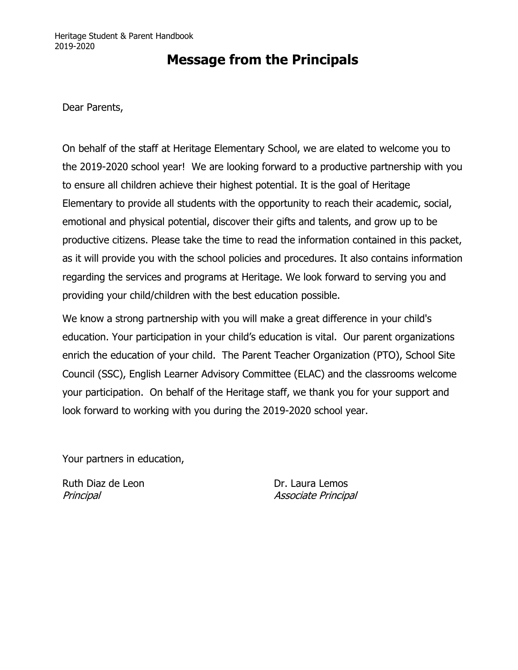### **Message from the Principals**

Dear Parents,

On behalf of the staff at Heritage Elementary School, we are elated to welcome you to the 2019-2020 school year! We are looking forward to a productive partnership with you to ensure all children achieve their highest potential. It is the goal of Heritage Elementary to provide all students with the opportunity to reach their academic, social, emotional and physical potential, discover their gifts and talents, and grow up to be productive citizens. Please take the time to read the information contained in this packet, as it will provide you with the school policies and procedures. It also contains information regarding the services and programs at Heritage. We look forward to serving you and providing your child/children with the best education possible.

We know a strong partnership with you will make a great difference in your child's education. Your participation in your child's education is vital. Our parent organizations enrich the education of your child. The Parent Teacher Organization (PTO), School Site Council (SSC), English Learner Advisory Committee (ELAC) and the classrooms welcome your participation. On behalf of the Heritage staff, we thank you for your support and look forward to working with you during the 2019-2020 school year.

Your partners in education,

Ruth Diaz de Leon **Dr. Laura Lemos** 

Principal Associate Principal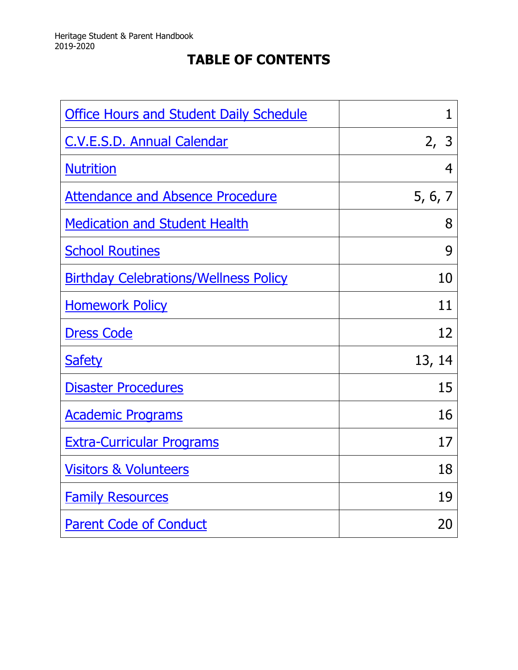# **TABLE OF CONTENTS**

| <b>Office Hours and Student Daily Schedule</b> | 1       |
|------------------------------------------------|---------|
| <b>C.V.E.S.D. Annual Calendar</b>              | 2, 3    |
| <b>Nutrition</b>                               | 4       |
| <b>Attendance and Absence Procedure</b>        | 5, 6, 7 |
| <b>Medication and Student Health</b>           | 8       |
| <b>School Routines</b>                         | 9       |
| <b>Birthday Celebrations/Wellness Policy</b>   | 10      |
| <b>Homework Policy</b>                         | 11      |
| <b>Dress Code</b>                              | 12      |
| <b>Safety</b>                                  | 13, 14  |
| <b>Disaster Procedures</b>                     | 15      |
| <b>Academic Programs</b>                       | 16      |
| <b>Extra-Curricular Programs</b>               | 17      |
| <b>Visitors &amp; Volunteers</b>               | 18      |
| <b>Family Resources</b>                        | 19      |
| <b>Parent Code of Conduct</b>                  | 20      |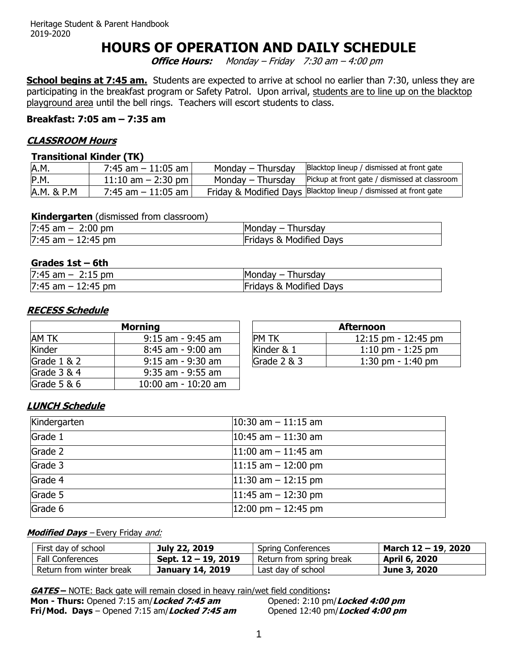### **HOURS OF OPERATION AND DAILY SCHEDULE**

**Office Hours:** Monday – Friday 7:30 am – 4:00 pm

<span id="page-3-0"></span>**School begins at 7:45 am.** Students are expected to arrive at school no earlier than 7:30, unless they are participating in the breakfast program or Safety Patrol. Upon arrival, students are to line up on the blacktop playground area until the bell rings. Teachers will escort students to class.

#### **Breakfast: 7:05 am – 7:35 am**

#### **CLASSROOM Hours**

#### **Transitional Kinder (TK)**

| A.M.       | 7:45 am $-11:05$ am   | Monday – Thursday | Blacktop lineup / dismissed at front gate                        |
|------------|-----------------------|-------------------|------------------------------------------------------------------|
| P.M.       | 11:10 am $-$ 2:30 pm  | Monday – Thursday | Pickup at front gate / dismissed at classroom                    |
| A.M. & P.M | $7:45$ am $-11:05$ am |                   | Friday & Modified Days Blacktop lineup / dismissed at front gate |

#### **Kindergarten** (dismissed from classroom)

| 7:45<br>2:00<br>) pm<br>am<br>$\overline{\phantom{0}}$  | Monday $-$<br>Thursday                       |
|---------------------------------------------------------|----------------------------------------------|
| 7:45<br>:45 pm<br>am<br>$\overline{\phantom{0}}$<br>TZ. | <b>Modified Days</b><br><b>Fridays</b><br>ະ& |

#### **Grades 1st – 6th**

| $7:45$ am $-$         | Thursday                           |
|-----------------------|------------------------------------|
| $2:15$ pm             | Monday –                           |
| $7:45$ am $-12:45$ pm | <b>Fridays &amp; Modified Days</b> |

#### **RECESS Schedule**

|               | <b>Morning</b>        |               | <b>Afternoon</b>                    |
|---------------|-----------------------|---------------|-------------------------------------|
| AM TK         | $9:15$ am - $9:45$ am | <b>PM TK</b>  | 12:15 pm - 12:45 pm                 |
| Kinder        | $8:45$ am - 9:00 am   | Kinder & 1    | $1:10 \text{ pm} - 1:25 \text{ pm}$ |
| Grade $1 & 2$ | $9:15$ am - $9:30$ am | Grade $2 & 3$ | 1:30 pm $-$ 1:40 pm                 |
| Grade 3 & 4   | 9:35 am - 9:55 am     |               |                                     |
| Grade $5 & 6$ | 10:00 am - 10:20 am   |               |                                     |

| <b>Afternoon</b> |                                     |  |  |  |  |
|------------------|-------------------------------------|--|--|--|--|
| <b>PM TK</b>     | 12:15 pm - 12:45 pm                 |  |  |  |  |
| Kinder & 1       | $1:10 \text{ pm} - 1:25 \text{ pm}$ |  |  |  |  |
| Grade $2 & 3$    | 1:30 pm $-1:40$ pm                  |  |  |  |  |

#### **LUNCH Schedule**

| Kindergarten | $ 10:30$ am $-11:15$ am                |
|--------------|----------------------------------------|
| Grade 1      | $10:45$ am $-11:30$ am                 |
| Grade 2      | $ 11:00$ am $-11:45$ am                |
| Grade 3      | $11:15$ am $-12:00$ pm                 |
| Grade 4      | $11:30$ am $-12:15$ pm                 |
| Grade 5      | $11:45$ am $-12:30$ pm                 |
| Grade 6      | $ 12:00 \text{ pm} - 12:45 \text{ pm}$ |

#### **Modified Days** – Every Friday and:

| First day of school      | July 22, 2019           | Spring Conferences       | March 12 – 19, 2020  |
|--------------------------|-------------------------|--------------------------|----------------------|
| <b>Fall Conferences</b>  | Sept. $12 - 19$ , 2019  | Return from spring break | <b>April 6, 2020</b> |
| Return from winter break | <b>January 14, 2019</b> | Last day of school       | June 3, 2020         |

**GATES –** NOTE: Back gate will remain closed in heavy rain/wet field conditions**:**

**Mon - Thurs:** Opened 7:15 am/*Locked 7:45 am* Opened: 2:10 pm/*Locked 4:00 pm*<br>**Fri/Mod. Days** – Opened 7:15 am/*Locked 7:45 am* Opened 12:40 pm/*Locked 4:00 pm* **Fri/Mod. Days** – Opened 7:15 am/*Locked 7:45 am*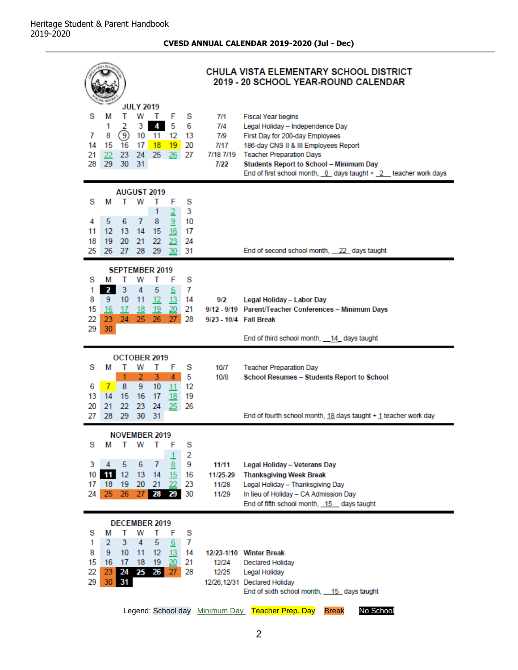**CVESD ANNUAL CALENDAR 2019-2020 (Jul - Dec)**

<span id="page-4-0"></span>

| 1.17                                                                                                                                                                                                                                                                | CHULA VISTA ELEMENTARY SCHOOL DISTRICT<br>2019 - 20 SCHOOL YEAR-ROUND CALENDAR                                                                                                                                                                                                                                                               |  |
|---------------------------------------------------------------------------------------------------------------------------------------------------------------------------------------------------------------------------------------------------------------------|----------------------------------------------------------------------------------------------------------------------------------------------------------------------------------------------------------------------------------------------------------------------------------------------------------------------------------------------|--|
| <b>JULY 2019</b><br>w<br>s<br>т<br>s<br>м<br>$\top$<br>F<br>3<br>4<br>5<br>6<br>1<br>2<br>9<br>10<br>11<br>7<br>8<br>12<br>-13<br>18<br>19<br>20<br>14<br>15<br>16<br>17<br>23<br>- 24<br>25<br>21<br>22<br>26<br>27<br>29<br>28<br>30<br>-31                       | 7/1<br><b>Fiscal Year begins</b><br>7/4<br>Legal Holiday - Independence Day<br>7/9<br>First Day for 200-day Employees<br>7/17<br>186-day CNS II & III Employees Report<br>7/18 7/19 Teacher Preparation Days<br>7/22<br><b>Students Report to School - Minimum Day</b><br>End of first school month, $8$ days taught + $2$ teacher work days |  |
| <b>AUGUST 2019</b><br>s<br>s<br>м<br>т<br>w<br>F<br>т<br>$\overline{2}$<br>3<br>1<br>5<br>$\overline{7}$<br>9<br>10<br>4<br>6<br>8<br>12<br>13<br>11<br>14<br>15<br>16<br>-17<br>20<br>22<br>18<br>19<br>-21<br>23<br>24<br>25<br>26<br>27<br>28<br>29<br>-30<br>31 | End of second school month, 22 days taught                                                                                                                                                                                                                                                                                                   |  |
| <b>SEPTEMBER 2019</b><br>s<br>s<br>т<br>w<br>т<br>F<br>м<br>1<br>$\mathbf{2}$<br>3<br>4<br>7<br>5<br>6<br>12<br>8<br>9.<br>10<br>11<br>13<br>14<br>15<br>20<br>21<br>16<br>17<br>19<br>18<br>22<br>24<br>26<br>27<br>28<br>23<br>$25 -$<br>30<br>29                 | 9/2<br>Legal Holiday - Labor Day<br>9/12 - 9/19 Parent/Teacher Conferences - Minimum Days<br>9/23 - 10/4   Fall Break<br>End of third school month, 14_ days taught                                                                                                                                                                          |  |
| OCTOBER 2019<br>S<br>S<br>м<br>w<br>F<br>т<br>T<br>$\overline{2}$<br>$4 -$<br>5<br>1<br>3<br>6<br>8<br>9<br>12<br>7<br>11<br>10<br>13<br>14<br>15<br>- 16<br>17<br>19<br><u>18</u><br>23<br>20<br>21<br>22<br>24<br>25<br>26<br>29<br>- 30<br>27<br>28<br>31        | 10/7<br><b>Teacher Preparation Day</b><br>10/8<br>School Resumes - Students Report to School<br>End of fourth school month, $18$ days taught $+1$ teacher work day                                                                                                                                                                           |  |
| NOVEMBER 2019<br>s<br>S<br>М<br>т<br>w<br>Т<br>F<br>2<br>1<br>9<br>3<br>5<br>6<br>8<br>4<br>7<br>11<br>10<br>12<br>13<br>14<br>15<br>16<br>20<br>18<br>19<br>21<br>23<br>17<br>22<br>25<br>24<br>26<br>27<br>28 29<br>30                                            | 11/11<br>Legal Holiday - Veterans Day<br><b>Thanksgiving Week Break</b><br>11/25-29<br>11/28<br>Legal Holiday - Thanksgiving Day<br>11/29<br>In lieu of Holiday - CA Admission Day<br>End of fifth school month, 15 days taught                                                                                                              |  |
| <b>DECEMBER 2019</b><br>s<br>s<br>м<br>т<br>w<br>т<br>F<br>3<br>4<br>1<br>$\overline{2}$<br>5<br>6<br>7<br>8<br>9<br>10<br>12<br>13<br>14<br>11<br>15<br>16<br>17<br>18<br>-19<br>20<br>21<br>22<br>23<br>24<br>28<br>$25 \t26$<br>27<br>29<br>30<br>31             | 12/23-1/10 Winter Break<br>12/24<br><b>Declared Holiday</b><br>12/25<br>Legal Holiday<br>12/26,12/31 Declared Holiday<br>End of sixth school month, 15 days taught<br>Legend: School day Minimum Day Teacher Prep. Day<br>No School<br><b>Break</b>                                                                                          |  |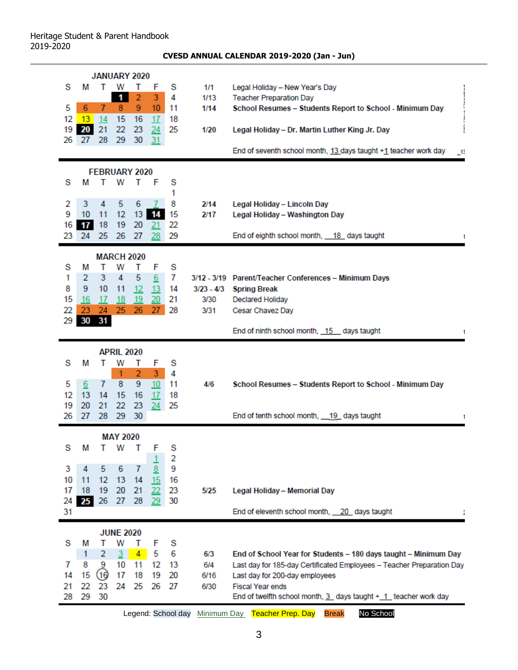#### **CVESD ANNUAL CALENDAR 2019-2020 (Jan - Jun)**

|    |               |            |                   | <b>JANUARY 2020</b> |                  |                    |              |                                                                                                                |
|----|---------------|------------|-------------------|---------------------|------------------|--------------------|--------------|----------------------------------------------------------------------------------------------------------------|
| s  | м             | т          | w                 | т                   | F                | s                  | 1/1          | Legal Holiday - New Year's Day                                                                                 |
|    |               |            | $\mathbf{1}$      | $\overline{2}$      | 3                | 4                  | 1/13         | <b>Teacher Preparation Day</b>                                                                                 |
| 5  | 6             | 7          | 8                 | 9                   | 10 <sup>°</sup>  | 11                 | 1/14         | School Resumes - Students Report to School - Minimum Day                                                       |
| 12 | $13 \quad 14$ |            | 15                | 16                  | 17 <sup>2</sup>  | 18                 |              |                                                                                                                |
| 19 | 20            | 21         | 22                | 23                  | 24               | 25                 | 1/20         | Legal Holiday - Dr. Martin Luther King Jr. Day                                                                 |
| 26 | 27            | 28         | 29                | 30                  | 31               |                    |              | End of seventh school month, 13 days taught +1 teacher work day<br>$\Box$                                      |
|    |               |            |                   |                     |                  |                    |              |                                                                                                                |
| s  | м             | т          | w                 | FEBRUARY 2020<br>т  | F                | S                  |              |                                                                                                                |
|    |               |            |                   |                     |                  | 1                  |              |                                                                                                                |
| 2  | 3             | 4          | 5                 | 6                   |                  | 8                  | 2/14         | Legal Holiday - Lincoln Day                                                                                    |
| 9  | 10            | 11         | 12                | 13                  | 14               | 15                 | 2/17         | Legal Holiday - Washington Day                                                                                 |
| 16 | 17            | 18         | 19                | 20                  | 21               | 22                 |              |                                                                                                                |
| 23 | 24            | 25         | 26                | 27                  | 28               | 29                 |              | End of eighth school month, 18 days taught<br>-1                                                               |
|    |               |            | <b>MARCH 2020</b> |                     |                  |                    |              |                                                                                                                |
| s  | М             | т          | W                 | т                   | F                | S                  |              |                                                                                                                |
| 1  | 2             | 3          | 4                 | 5                   | $6 \overline{6}$ | 7                  |              | 3/12 - 3/19 Parent/Teacher Conferences - Minimum Days                                                          |
| 8  | 9             | 10         | 11                | 12                  | 13               | 14                 | $3/23 - 4/3$ | <b>Spring Break</b>                                                                                            |
| 15 | 16            | 17         | 18                | <u>19</u>           | 20               | 21                 | 3/30         | <b>Declared Holiday</b>                                                                                        |
| 22 | 23            | 24         | 25                | 26                  | 27               | 28                 | 3/31         | Cesar Chavez Day                                                                                               |
| 29 | 30            | 31         |                   |                     |                  |                    |              | End of ninth school month, 15 days taught                                                                      |
|    |               |            |                   |                     |                  |                    |              |                                                                                                                |
|    |               |            | <b>APRIL 2020</b> |                     |                  |                    |              |                                                                                                                |
| s  | Μ             | т          | W                 | т                   | F                | s                  |              |                                                                                                                |
|    |               |            | 1                 | $\overline{2}$      | 3                | 4                  |              |                                                                                                                |
| 5  | 6             | 7          | 8                 | 9                   | 10 <sub>1</sub>  | 11                 | 4/6          | School Resumes - Students Report to School - Minimum Day                                                       |
| 12 | 13            | 14         | 15                | 16                  | 17               | 18                 |              |                                                                                                                |
| 19 | 20            | 21         | 22                | 23                  | 24               | 25                 |              |                                                                                                                |
| 26 | 27            | 28         | 29                | 30                  |                  |                    |              | End of tenth school month, 19 days taught                                                                      |
|    |               |            | <b>MAY 2020</b>   |                     |                  |                    |              |                                                                                                                |
| s  |               |            |                   |                     | M T W T F        | s                  |              |                                                                                                                |
|    |               |            |                   |                     |                  | 2                  |              |                                                                                                                |
| 3  | 4             | 5          | 6                 | 7                   | 8                | 9                  |              |                                                                                                                |
| 10 | 11            | 12         | 13                | 14                  | 15               | 16                 |              |                                                                                                                |
| 17 | 18            | 19         | 20                | 21                  | 22               | 23                 | 5/25         | Legal Holiday - Memorial Day                                                                                   |
| 24 | 25            | 26         | 27                | 28                  | 29               | 30                 |              |                                                                                                                |
| 31 |               |            |                   |                     |                  |                    |              | End of eleventh school month, 20 days taught                                                                   |
|    |               |            | <b>JUNE 2020</b>  |                     |                  |                    |              |                                                                                                                |
| s  | М             | т          | W                 | T                   | F                | S                  |              |                                                                                                                |
|    | 1             | 2          | $\overline{3}$    | $\overline{4}$      | 5                | 6                  | 6/3          | End of School Year for Students - 180 days taught - Minimum Day                                                |
| 7  | 8             | 9          | 10                | 11                  | 12               | 13                 | 6/4          | Last day for 185-day Certificated Employees - Teacher Preparation Day                                          |
| 14 | 15            | (16)<br>23 | 17<br>24          | 18                  | 19               | 20                 | 6/16         | Last day for 200-day employees                                                                                 |
|    |               |            |                   | 25                  | 26               | 27                 | 6/30         | <b>Fiscal Year ends</b>                                                                                        |
| 21 | 22            |            |                   |                     |                  |                    |              |                                                                                                                |
| 28 | 29            | 30         |                   |                     |                  | Legend: School day |              | End of twelfth school month, $3$ days taught $+$ $1$ teacher work day<br><b>Teacher Prep. Day</b><br>No School |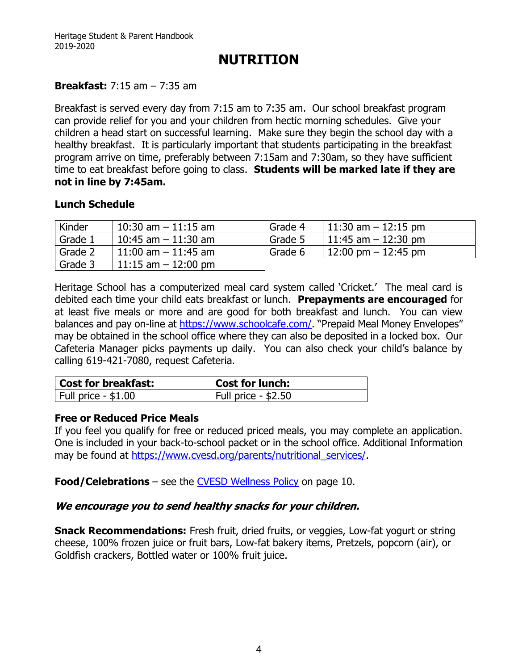### **NUTRITION**

### <span id="page-6-0"></span>**Breakfast:** 7:15 am – 7:35 am

Breakfast is served every day from 7:15 am to 7:35 am. Our school breakfast program can provide relief for you and your children from hectic morning schedules. Give your children a head start on successful learning. Make sure they begin the school day with a healthy breakfast. It is particularly important that students participating in the breakfast program arrive on time, preferably between 7:15am and 7:30am, so they have sufficient time to eat breakfast before going to class. **Students will be marked late if they are not in line by 7:45am.**

### **Lunch Schedule**

| Kinder  | $10:30$ am $-11:15$ am | Grade 4 | $11:30$ am $-12:15$ pm                |
|---------|------------------------|---------|---------------------------------------|
| Grade 1 | 10:45 am $-$ 11:30 am  | Grade 5 | 11:45 am $-$ 12:30 pm                 |
| Grade 2 | $11:00$ am $-11:45$ am | Grade 6 | $12:00 \text{ pm} - 12:45 \text{ pm}$ |
| Grade 3 | $11:15$ am $-12:00$ pm |         |                                       |

Heritage School has a computerized meal card system called 'Cricket.' The meal card is debited each time your child eats breakfast or lunch. **Prepayments are encouraged** for at least five meals or more and are good for both breakfast and lunch. You can view balances and pay on-line at<https://www.schoolcafe.com/>. "Prepaid Meal Money Envelopes" may be obtained in the school office where they can also be deposited in a locked box. Our Cafeteria Manager picks payments up daily. You can also check your child's balance by calling 619-421-7080, request Cafeteria.

| Cost for breakfast:  | Cost for lunch:      |
|----------------------|----------------------|
| Full price - $$1.00$ | Full price - $$2.50$ |

#### **Free or Reduced Price Meals**

If you feel you qualify for free or reduced priced meals, you may complete an application. One is included in your back-to-school packet or in the school office. Additional Information may be found at [https://www.cvesd.org/parents/nutritional\\_services/.](https://www.cvesd.org/parents/nutritional_services/)

**Food/Celebrations** – see the [CVESD Wellness Policy](#page-12-1) on page 10.

### **We encourage you to send healthy snacks for your children.**

**Snack Recommendations:** Fresh fruit, dried fruits, or veggies, Low-fat yogurt or string cheese, 100% frozen juice or fruit bars, Low-fat bakery items, Pretzels, popcorn (air), or Goldfish crackers, Bottled water or 100% fruit juice.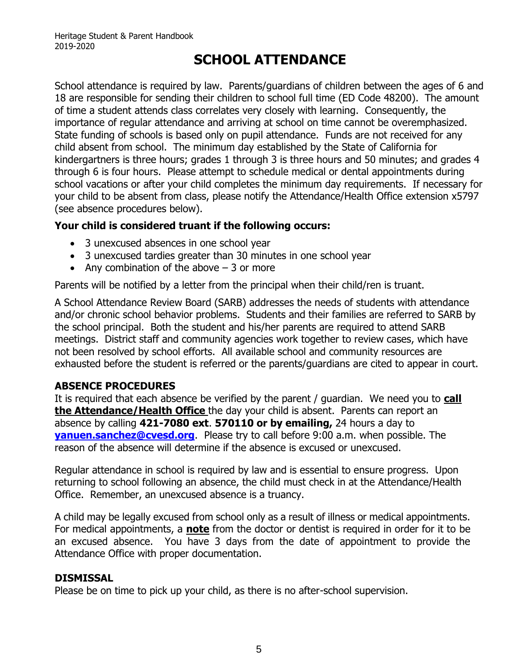# **SCHOOL ATTENDANCE**

<span id="page-7-0"></span>School attendance is required by law. Parents/guardians of children between the ages of 6 and 18 are responsible for sending their children to school full time (ED Code 48200). The amount of time a student attends class correlates very closely with learning. Consequently, the importance of regular attendance and arriving at school on time cannot be overemphasized. State funding of schools is based only on pupil attendance. Funds are not received for any child absent from school. The minimum day established by the State of California for kindergartners is three hours; grades 1 through 3 is three hours and 50 minutes; and grades 4 through 6 is four hours. Please attempt to schedule medical or dental appointments during school vacations or after your child completes the minimum day requirements. If necessary for your child to be absent from class, please notify the Attendance/Health Office extension x5797 (see absence procedures below).

### **Your child is considered truant if the following occurs:**

- 3 unexcused absences in one school year
- 3 unexcused tardies greater than 30 minutes in one school year
- Any combination of the above  $-3$  or more

Parents will be notified by a letter from the principal when their child/ren is truant.

A School Attendance Review Board (SARB) addresses the needs of students with attendance and/or chronic school behavior problems. Students and their families are referred to SARB by the school principal. Both the student and his/her parents are required to attend SARB meetings. District staff and community agencies work together to review cases, which have not been resolved by school efforts. All available school and community resources are exhausted before the student is referred or the parents/guardians are cited to appear in court.

### **ABSENCE PROCEDURES**

It is required that each absence be verified by the parent / guardian. We need you to **call the Attendance/Health Office** the day your child is absent. Parents can report an absence by calling **421-7080 ext**. **570110 or by emailing,** 24 hours a day to **[yanuen.sanchez@cvesd.org](mailto:yanuen.sanchez@cvesd.org)**. Please try to call before 9:00 a.m. when possible. The reason of the absence will determine if the absence is excused or unexcused.

Regular attendance in school is required by law and is essential to ensure progress. Upon returning to school following an absence, the child must check in at the Attendance/Health Office. Remember, an unexcused absence is a truancy.

A child may be legally excused from school only as a result of illness or medical appointments. For medical appointments, a **note** from the doctor or dentist is required in order for it to be an excused absence. You have 3 days from the date of appointment to provide the Attendance Office with proper documentation.

### **DISMISSAL**

Please be on time to pick up your child, as there is no after-school supervision.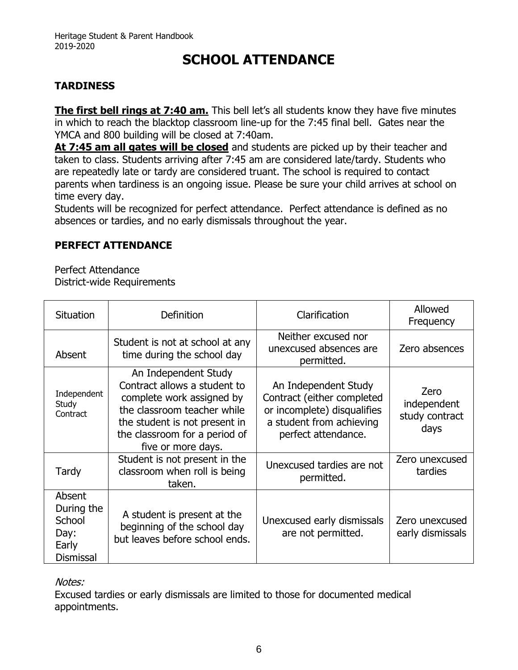# **SCHOOL ATTENDANCE**

### **TARDINESS**

**The first bell rings at 7:40 am.** This bell let's all students know they have five minutes in which to reach the blacktop classroom line-up for the 7:45 final bell. Gates near the YMCA and 800 building will be closed at 7:40am.

**At 7:45 am all gates will be closed** and students are picked up by their teacher and taken to class. Students arriving after 7:45 am are considered late/tardy. Students who are repeatedly late or tardy are considered truant. The school is required to contact parents when tardiness is an ongoing issue. Please be sure your child arrives at school on time every day.

Students will be recognized for perfect attendance. Perfect attendance is defined as no absences or tardies, and no early dismissals throughout the year.

### **PERFECT ATTENDANCE**

Perfect Attendance District-wide Requirements

| Situation                                                           | <b>Definition</b>                                                                                                                                                                                        | Clarification                                                                                                                        | Allowed<br>Frequency                          |
|---------------------------------------------------------------------|----------------------------------------------------------------------------------------------------------------------------------------------------------------------------------------------------------|--------------------------------------------------------------------------------------------------------------------------------------|-----------------------------------------------|
| Absent                                                              | Student is not at school at any<br>time during the school day                                                                                                                                            | Neither excused nor<br>unexcused absences are<br>permitted.                                                                          | Zero absences                                 |
| Independent<br>Study<br>Contract                                    | An Independent Study<br>Contract allows a student to<br>complete work assigned by<br>the classroom teacher while<br>the student is not present in<br>the classroom for a period of<br>five or more days. | An Independent Study<br>Contract (either completed<br>or incomplete) disqualifies<br>a student from achieving<br>perfect attendance. | Zero<br>independent<br>study contract<br>days |
| Tardy                                                               | Student is not present in the<br>classroom when roll is being<br>taken.                                                                                                                                  | Unexcused tardies are not<br>permitted.                                                                                              | Zero unexcused<br>tardies                     |
| Absent<br>During the<br>School<br>Day:<br>Early<br><b>Dismissal</b> | A student is present at the<br>beginning of the school day<br>but leaves before school ends.                                                                                                             | Unexcused early dismissals<br>are not permitted.                                                                                     | Zero unexcused<br>early dismissals            |

Notes:

Excused tardies or early dismissals are limited to those for documented medical appointments.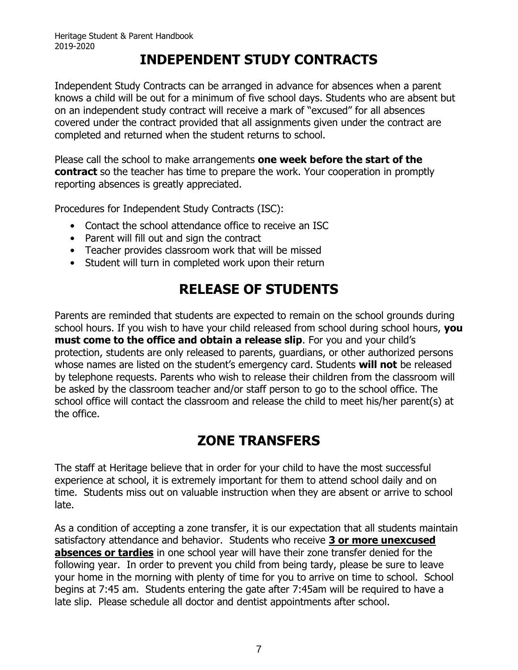# **INDEPENDENT STUDY CONTRACTS**

Independent Study Contracts can be arranged in advance for absences when a parent knows a child will be out for a minimum of five school days. Students who are absent but on an independent study contract will receive a mark of "excused" for all absences covered under the contract provided that all assignments given under the contract are completed and returned when the student returns to school.

Please call the school to make arrangements **one week before the start of the contract** so the teacher has time to prepare the work. Your cooperation in promptly reporting absences is greatly appreciated.

Procedures for Independent Study Contracts (ISC):

- Contact the school attendance office to receive an ISC
- Parent will fill out and sign the contract
- Teacher provides classroom work that will be missed
- Student will turn in completed work upon their return

# **RELEASE OF STUDENTS**

Parents are reminded that students are expected to remain on the school grounds during school hours. If you wish to have your child released from school during school hours, **you must come to the office and obtain a release slip**. For you and your child's protection, students are only released to parents, guardians, or other authorized persons whose names are listed on the student's emergency card. Students **will not** be released by telephone requests. Parents who wish to release their children from the classroom will be asked by the classroom teacher and/or staff person to go to the school office. The school office will contact the classroom and release the child to meet his/her parent(s) at the office.

# **ZONE TRANSFERS**

The staff at Heritage believe that in order for your child to have the most successful experience at school, it is extremely important for them to attend school daily and on time. Students miss out on valuable instruction when they are absent or arrive to school late.

As a condition of accepting a zone transfer, it is our expectation that all students maintain satisfactory attendance and behavior. Students who receive **3 or more unexcused absences or tardies** in one school year will have their zone transfer denied for the following year. In order to prevent you child from being tardy, please be sure to leave your home in the morning with plenty of time for you to arrive on time to school. School begins at 7:45 am. Students entering the gate after 7:45am will be required to have a late slip. Please schedule all doctor and dentist appointments after school.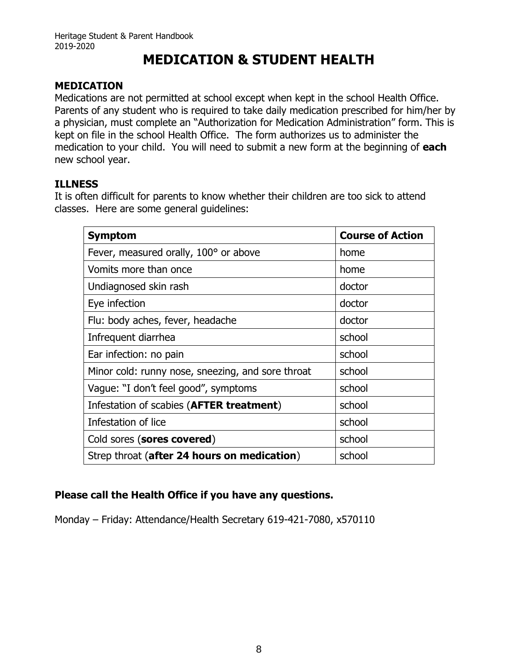# **MEDICATION & STUDENT HEALTH**

### <span id="page-10-0"></span>**MEDICATION**

Medications are not permitted at school except when kept in the school Health Office. Parents of any student who is required to take daily medication prescribed for him/her by a physician, must complete an "Authorization for Medication Administration" form. This is kept on file in the school Health Office. The form authorizes us to administer the medication to your child. You will need to submit a new form at the beginning of **each** new school year.

### **ILLNESS**

It is often difficult for parents to know whether their children are too sick to attend classes. Here are some general guidelines:

| <b>Symptom</b>                                    | <b>Course of Action</b> |
|---------------------------------------------------|-------------------------|
| Fever, measured orally, 100° or above             | home                    |
| Vomits more than once                             | home                    |
| Undiagnosed skin rash                             | doctor                  |
| Eye infection                                     | doctor                  |
| Flu: body aches, fever, headache                  | doctor                  |
| Infrequent diarrhea                               | school                  |
| Ear infection: no pain                            | school                  |
| Minor cold: runny nose, sneezing, and sore throat | school                  |
| Vaque: "I don't feel good", symptoms              | school                  |
| Infestation of scabies (AFTER treatment)          | school                  |
| Infestation of lice                               | school                  |
| Cold sores (sores covered)                        | school                  |
| Strep throat (after 24 hours on medication)       | school                  |

### **Please call the Health Office if you have any questions.**

Monday – Friday: Attendance/Health Secretary 619-421-7080, x570110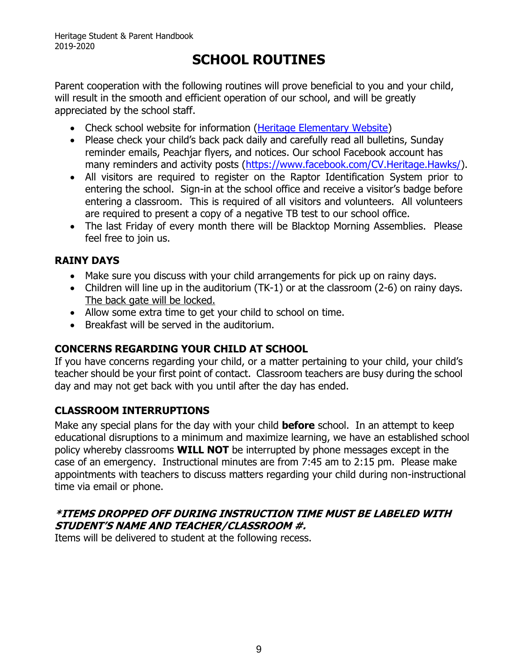# **SCHOOL ROUTINES**

<span id="page-11-0"></span>Parent cooperation with the following routines will prove beneficial to you and your child, will result in the smooth and efficient operation of our school, and will be greatly appreciated by the school staff.

- Check school website for information [\(Heritage Elementary Website\)](http://schools.cvesd.org/schools/heritage/Pages/home.aspx#.WzmoXH4nYdQ)
- Please check your child's back pack daily and carefully read all bulletins, Sunday reminder emails, Peachjar flyers, and notices. Our school Facebook account has many reminders and activity posts [\(https://www.facebook.com/CV.Heritage.Hawks/\)](https://www.facebook.com/CV.Heritage.Hawks/).
- All visitors are required to register on the Raptor Identification System prior to entering the school. Sign-in at the school office and receive a visitor's badge before entering a classroom. This is required of all visitors and volunteers. All volunteers are required to present a copy of a negative TB test to our school office.
- The last Friday of every month there will be Blacktop Morning Assemblies. Please feel free to join us.

### **RAINY DAYS**

- Make sure you discuss with your child arrangements for pick up on rainy days.
- Children will line up in the auditorium (TK-1) or at the classroom (2-6) on rainy days. The back gate will be locked.
- Allow some extra time to get your child to school on time.
- Breakfast will be served in the auditorium.

### **CONCERNS REGARDING YOUR CHILD AT SCHOOL**

If you have concerns regarding your child, or a matter pertaining to your child, your child's teacher should be your first point of contact. Classroom teachers are busy during the school day and may not get back with you until after the day has ended.

### **CLASSROOM INTERRUPTIONS**

Make any special plans for the day with your child **before** school. In an attempt to keep educational disruptions to a minimum and maximize learning, we have an established school policy whereby classrooms **WILL NOT** be interrupted by phone messages except in the case of an emergency. Instructional minutes are from 7:45 am to 2:15 pm. Please make appointments with teachers to discuss matters regarding your child during non-instructional time via email or phone.

### **\*ITEMS DROPPED OFF DURING INSTRUCTION TIME MUST BE LABELED WITH STUDENT'S NAME AND TEACHER/CLASSROOM #.**

Items will be delivered to student at the following recess.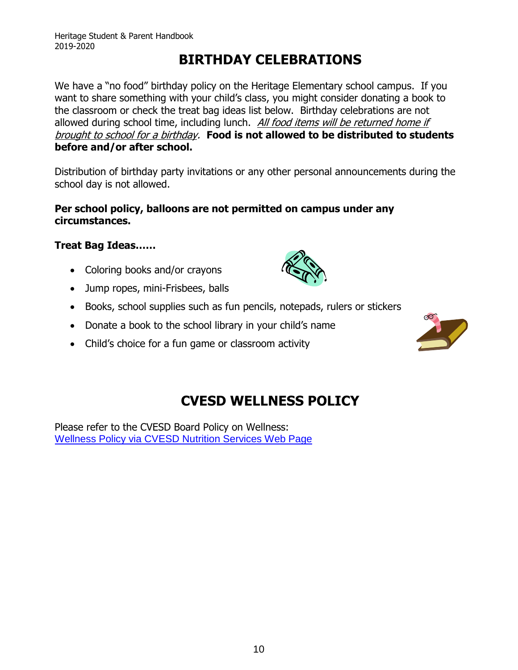# **BIRTHDAY CELEBRATIONS**

<span id="page-12-0"></span>We have a "no food" birthday policy on the Heritage Elementary school campus. If you want to share something with your child's class, you might consider donating a book to the classroom or check the treat bag ideas list below. Birthday celebrations are not allowed during school time, including lunch. All food items will be returned home if brought to school for a birthday. **Food is not allowed to be distributed to students before and/or after school.**

Distribution of birthday party invitations or any other personal announcements during the school day is not allowed.

### **Per school policy, balloons are not permitted on campus under any circumstances.**

### **Treat Bag Ideas……**

- Coloring books and/or crayons
- Jump ropes, mini-Frisbees, balls
- Books, school supplies such as fun pencils, notepads, rulers or stickers
- Donate a book to the school library in your child's name
- Child's choice for a fun game or classroom activity

<span id="page-12-1"></span>

Please refer to the CVESD Board Policy on Wellness: [Wellness Policy via CVESD Nutrition Services Web Page](http://chulavista.ss12.sharpschool.com/parents/nutritional_services/child_nutrition_services/wellness_policy/)

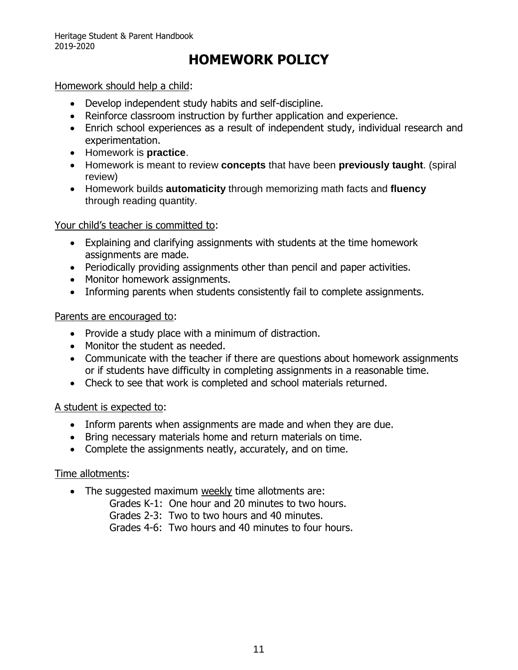# **HOMEWORK POLICY**

### <span id="page-13-0"></span>Homework should help a child:

- Develop independent study habits and self-discipline.
- Reinforce classroom instruction by further application and experience.
- Enrich school experiences as a result of independent study, individual research and experimentation.
- Homework is **practice**.
- Homework is meant to review **concepts** that have been **previously taught**. (spiral review)
- Homework builds **automaticity** through memorizing math facts and **fluency** through reading quantity.

#### Your child's teacher is committed to:

- Explaining and clarifying assignments with students at the time homework assignments are made.
- Periodically providing assignments other than pencil and paper activities.
- Monitor homework assignments.
- Informing parents when students consistently fail to complete assignments.

#### Parents are encouraged to:

- Provide a study place with a minimum of distraction.
- Monitor the student as needed.
- Communicate with the teacher if there are questions about homework assignments or if students have difficulty in completing assignments in a reasonable time.
- Check to see that work is completed and school materials returned.

### A student is expected to:

- Inform parents when assignments are made and when they are due.
- Bring necessary materials home and return materials on time.
- Complete the assignments neatly, accurately, and on time.

### Time allotments:

- The suggested maximum weekly time allotments are:
	- Grades K-1: One hour and 20 minutes to two hours.
	- Grades 2-3: Two to two hours and 40 minutes.
	- Grades 4-6: Two hours and 40 minutes to four hours.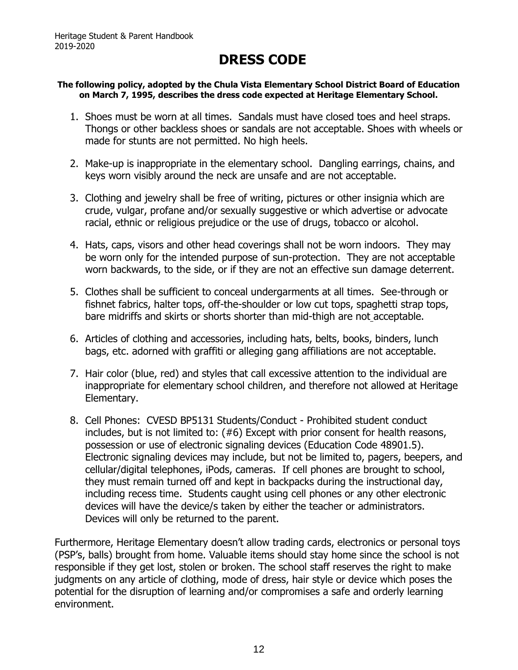# **DRESS CODE**

#### <span id="page-14-0"></span>**The following policy, adopted by the Chula Vista Elementary School District Board of Education on March 7, 1995, describes the dress code expected at Heritage Elementary School.**

- 1. Shoes must be worn at all times. Sandals must have closed toes and heel straps. Thongs or other backless shoes or sandals are not acceptable. Shoes with wheels or made for stunts are not permitted. No high heels.
- 2. Make-up is inappropriate in the elementary school. Dangling earrings, chains, and keys worn visibly around the neck are unsafe and are not acceptable.
- 3. Clothing and jewelry shall be free of writing, pictures or other insignia which are crude, vulgar, profane and/or sexually suggestive or which advertise or advocate racial, ethnic or religious prejudice or the use of drugs, tobacco or alcohol.
- 4. Hats, caps, visors and other head coverings shall not be worn indoors. They may be worn only for the intended purpose of sun-protection. They are not acceptable worn backwards, to the side, or if they are not an effective sun damage deterrent.
- 5. Clothes shall be sufficient to conceal undergarments at all times. See-through or fishnet fabrics, halter tops, off-the-shoulder or low cut tops, spaghetti strap tops, bare midriffs and skirts or shorts shorter than mid-thigh are not acceptable.
- 6. Articles of clothing and accessories, including hats, belts, books, binders, lunch bags, etc. adorned with graffiti or alleging gang affiliations are not acceptable.
- 7. Hair color (blue, red) and styles that call excessive attention to the individual are inappropriate for elementary school children, and therefore not allowed at Heritage Elementary.
- 8. Cell Phones: CVESD BP5131 Students/Conduct Prohibited student conduct includes, but is not limited to: (#6) Except with prior consent for health reasons, possession or use of electronic signaling devices (Education Code 48901.5). Electronic signaling devices may include, but not be limited to, pagers, beepers, and cellular/digital telephones, iPods, cameras. If cell phones are brought to school, they must remain turned off and kept in backpacks during the instructional day, including recess time. Students caught using cell phones or any other electronic devices will have the device/s taken by either the teacher or administrators. Devices will only be returned to the parent.

Furthermore, Heritage Elementary doesn't allow trading cards, electronics or personal toys (PSP's, balls) brought from home. Valuable items should stay home since the school is not responsible if they get lost, stolen or broken. The school staff reserves the right to make judgments on any article of clothing, mode of dress, hair style or device which poses the potential for the disruption of learning and/or compromises a safe and orderly learning environment.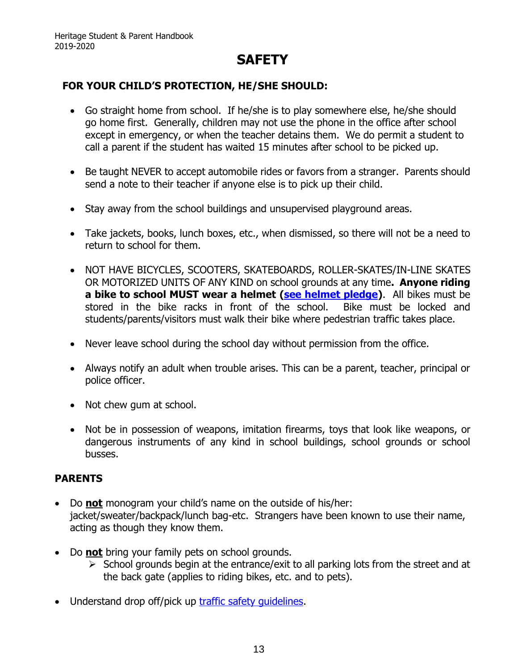### **SAFETY**

### <span id="page-15-0"></span>**FOR YOUR CHILD'S PROTECTION, HE/SHE SHOULD:**

- Go straight home from school. If he/she is to play somewhere else, he/she should go home first. Generally, children may not use the phone in the office after school except in emergency, or when the teacher detains them. We do permit a student to call a parent if the student has waited 15 minutes after school to be picked up.
- Be taught NEVER to accept automobile rides or favors from a stranger. Parents should send a note to their teacher if anyone else is to pick up their child.
- Stay away from the school buildings and unsupervised playground areas.
- Take jackets, books, lunch boxes, etc., when dismissed, so there will not be a need to return to school for them.
- NOT HAVE BICYCLES, SCOOTERS, SKATEBOARDS, ROLLER-SKATES/IN-LINE SKATES OR MOTORIZED UNITS OF ANY KIND on school grounds at any time**. Anyone riding a bike to school MUST wear a helmet [\(see helmet pledge\)](http://schools.cvesd.org/schools/heritage/Documents/Helmet%20Pledge.pdf)**. All bikes must be stored in the bike racks in front of the school. Bike must be locked and students/parents/visitors must walk their bike where pedestrian traffic takes place.
- Never leave school during the school day without permission from the office.
- Always notify an adult when trouble arises. This can be a parent, teacher, principal or police officer.
- Not chew gum at school.
- Not be in possession of weapons, imitation firearms, toys that look like weapons, or dangerous instruments of any kind in school buildings, school grounds or school busses.

### **PARENTS**

- Do **not** monogram your child's name on the outside of his/her: jacket/sweater/backpack/lunch bag-etc. Strangers have been known to use their name, acting as though they know them.
- Do **not** bring your family pets on school grounds.
	- $\triangleright$  School grounds begin at the entrance/exit to all parking lots from the street and at the back gate (applies to riding bikes, etc. and to pets).
- Understand drop off/pick up traffic safety quidelines.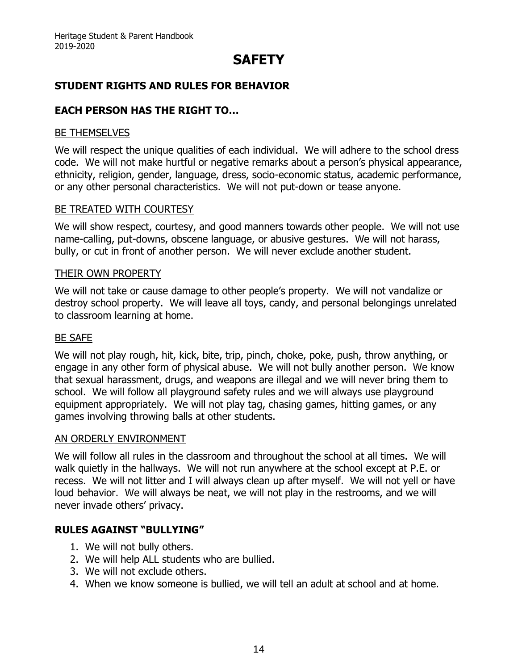# **SAFETY**

### **STUDENT RIGHTS AND RULES FOR BEHAVIOR**

### **EACH PERSON HAS THE RIGHT TO…**

#### BE THEMSELVES

We will respect the unique qualities of each individual. We will adhere to the school dress code. We will not make hurtful or negative remarks about a person's physical appearance, ethnicity, religion, gender, language, dress, socio-economic status, academic performance, or any other personal characteristics. We will not put-down or tease anyone.

#### BE TREATED WITH COURTESY

We will show respect, courtesy, and good manners towards other people. We will not use name-calling, put-downs, obscene language, or abusive gestures. We will not harass, bully, or cut in front of another person. We will never exclude another student.

#### THEIR OWN PROPERTY

We will not take or cause damage to other people's property. We will not vandalize or destroy school property. We will leave all toys, candy, and personal belongings unrelated to classroom learning at home.

#### BE SAFE

We will not play rough, hit, kick, bite, trip, pinch, choke, poke, push, throw anything, or engage in any other form of physical abuse. We will not bully another person. We know that sexual harassment, drugs, and weapons are illegal and we will never bring them to school. We will follow all playground safety rules and we will always use playground equipment appropriately. We will not play tag, chasing games, hitting games, or any games involving throwing balls at other students.

#### AN ORDERLY ENVIRONMENT

We will follow all rules in the classroom and throughout the school at all times. We will walk quietly in the hallways. We will not run anywhere at the school except at P.E. or recess. We will not litter and I will always clean up after myself. We will not yell or have loud behavior. We will always be neat, we will not play in the restrooms, and we will never invade others' privacy.

### **RULES AGAINST "BULLYING"**

- 1. We will not bully others.
- 2. We will help ALL students who are bullied.
- 3. We will not exclude others.
- 4. When we know someone is bullied, we will tell an adult at school and at home.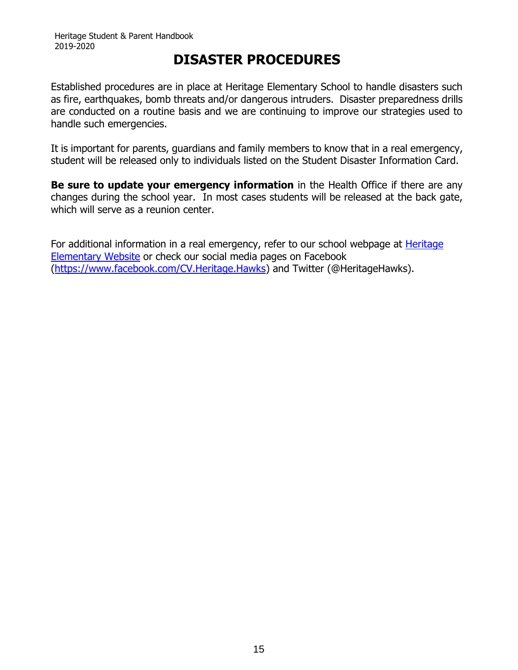### **DISASTER PROCEDURES**

<span id="page-17-0"></span>Established procedures are in place at Heritage Elementary School to handle disasters such as fire, earthquakes, bomb threats and/or dangerous intruders. Disaster preparedness drills are conducted on a routine basis and we are continuing to improve our strategies used to handle such emergencies.

It is important for parents, guardians and family members to know that in a real emergency, student will be released only to individuals listed on the Student Disaster Information Card.

**Be sure to update your emergency information** in the Health Office if there are any changes during the school year. In most cases students will be released at the back gate, which will serve as a reunion center.

For additional information in a real emergency, refer to our school webpage at **Heritage** [Elementary Website](http://schools.cvesd.org/schools/heritage/Pages/home.aspx#.WzmoXH4nYdQ) or check our social media pages on Facebook [\(https://www.facebook.com/CV.Heritage.Hawks\)](https://www.facebook.com/CV.Heritage.Hawks) and Twitter (@HeritageHawks).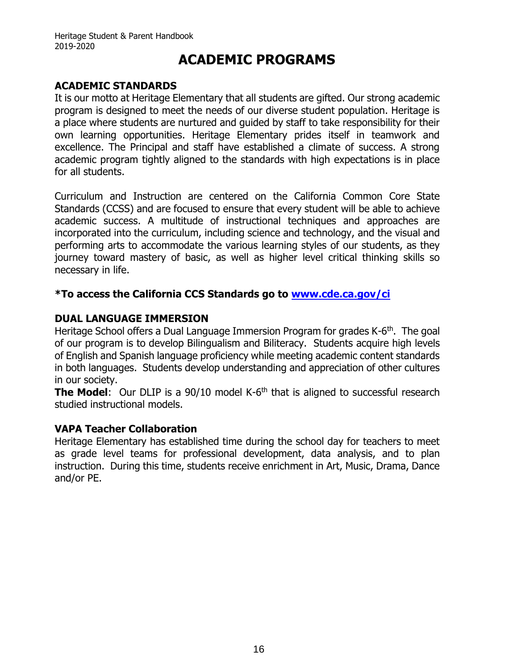### **ACADEMIC PROGRAMS**

### <span id="page-18-0"></span>**ACADEMIC STANDARDS**

It is our motto at Heritage Elementary that all students are gifted. Our strong academic program is designed to meet the needs of our diverse student population. Heritage is a place where students are nurtured and guided by staff to take responsibility for their own learning opportunities. Heritage Elementary prides itself in teamwork and excellence. The Principal and staff have established a climate of success. A strong academic program tightly aligned to the standards with high expectations is in place for all students.

Curriculum and Instruction are centered on the California Common Core State Standards (CCSS) and are focused to ensure that every student will be able to achieve academic success. A multitude of instructional techniques and approaches are incorporated into the curriculum, including science and technology, and the visual and performing arts to accommodate the various learning styles of our students, as they journey toward mastery of basic, as well as higher level critical thinking skills so necessary in life.

### **\*To access the California CCS Standards go to [www.cde.ca.gov/ci](http://www.cde.ca.gov/ci)**

### **DUAL LANGUAGE IMMERSION**

Heritage School offers a Dual Language Immersion Program for grades K-6<sup>th</sup>. The goal of our program is to develop Bilingualism and Biliteracy. Students acquire high levels of English and Spanish language proficiency while meeting academic content standards in both languages. Students develop understanding and appreciation of other cultures in our society.

**The Model:** Our DLIP is a 90/10 model K-6<sup>th</sup> that is aligned to successful research studied instructional models.

### **VAPA Teacher Collaboration**

Heritage Elementary has established time during the school day for teachers to meet as grade level teams for professional development, data analysis, and to plan instruction. During this time, students receive enrichment in Art, Music, Drama, Dance and/or PE.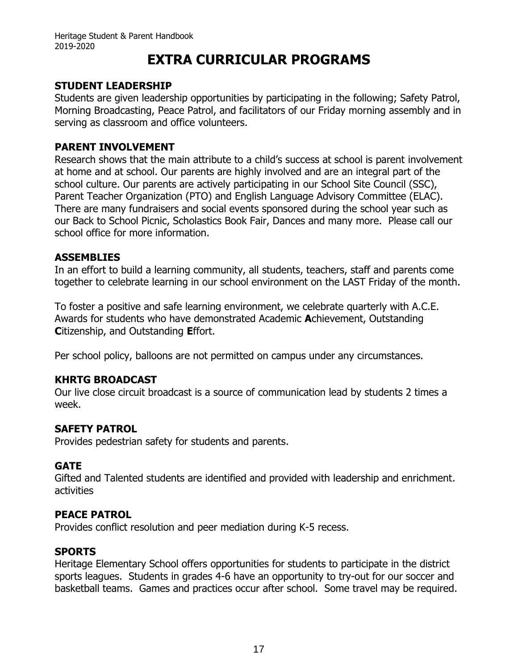# **EXTRA CURRICULAR PROGRAMS**

### <span id="page-19-0"></span>**STUDENT LEADERSHIP**

Students are given leadership opportunities by participating in the following; Safety Patrol, Morning Broadcasting, Peace Patrol, and facilitators of our Friday morning assembly and in serving as classroom and office volunteers.

### **PARENT INVOLVEMENT**

Research shows that the main attribute to a child's success at school is parent involvement at home and at school. Our parents are highly involved and are an integral part of the school culture. Our parents are actively participating in our School Site Council (SSC), Parent Teacher Organization (PTO) and English Language Advisory Committee (ELAC). There are many fundraisers and social events sponsored during the school year such as our Back to School Picnic, Scholastics Book Fair, Dances and many more. Please call our school office for more information.

### **ASSEMBLIES**

In an effort to build a learning community, all students, teachers, staff and parents come together to celebrate learning in our school environment on the LAST Friday of the month.

To foster a positive and safe learning environment, we celebrate quarterly with A.C.E. Awards for students who have demonstrated Academic **A**chievement, Outstanding **C**itizenship, and Outstanding **E**ffort.

Per school policy, balloons are not permitted on campus under any circumstances.

### **KHRTG BROADCAST**

Our live close circuit broadcast is a source of communication lead by students 2 times a week.

### **SAFETY PATROL**

Provides pedestrian safety for students and parents.

### **GATE**

Gifted and Talented students are identified and provided with leadership and enrichment. activities

### **PEACE PATROL**

Provides conflict resolution and peer mediation during K-5 recess.

### **SPORTS**

Heritage Elementary School offers opportunities for students to participate in the district sports leagues. Students in grades 4-6 have an opportunity to try-out for our soccer and basketball teams. Games and practices occur after school. Some travel may be required.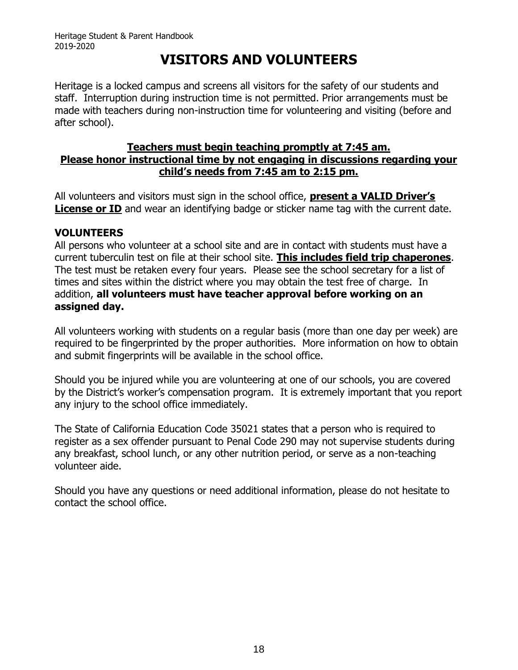# **VISITORS AND VOLUNTEERS**

<span id="page-20-0"></span>Heritage is a locked campus and screens all visitors for the safety of our students and staff. Interruption during instruction time is not permitted. Prior arrangements must be made with teachers during non-instruction time for volunteering and visiting (before and after school).

#### **Teachers must begin teaching promptly at 7:45 am. Please honor instructional time by not engaging in discussions regarding your child's needs from 7:45 am to 2:15 pm.**

All volunteers and visitors must sign in the school office, **present a VALID Driver's License or ID** and wear an identifying badge or sticker name tag with the current date.

### **VOLUNTEERS**

All persons who volunteer at a school site and are in contact with students must have a current tuberculin test on file at their school site. **This includes field trip chaperones**. The test must be retaken every four years. Please see the school secretary for a list of times and sites within the district where you may obtain the test free of charge. In addition, **all volunteers must have teacher approval before working on an assigned day.**

All volunteers working with students on a regular basis (more than one day per week) are required to be fingerprinted by the proper authorities. More information on how to obtain and submit fingerprints will be available in the school office.

Should you be injured while you are volunteering at one of our schools, you are covered by the District's worker's compensation program. It is extremely important that you report any injury to the school office immediately.

The State of California Education Code 35021 states that a person who is required to register as a sex offender pursuant to Penal Code 290 may not supervise students during any breakfast, school lunch, or any other nutrition period, or serve as a non-teaching volunteer aide.

Should you have any questions or need additional information, please do not hesitate to contact the school office.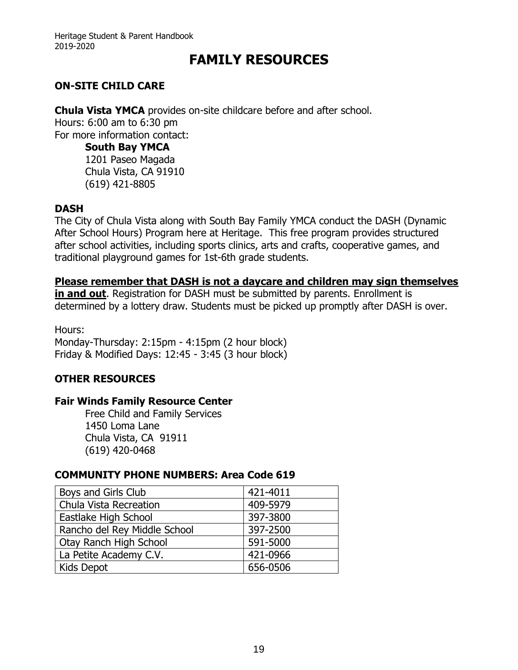### **FAMILY RESOURCES**

### <span id="page-21-0"></span>**ON-SITE CHILD CARE**

**Chula Vista YMCA** provides on-site childcare before and after school. Hours: 6:00 am to 6:30 pm For more information contact:

**South Bay YMCA** 1201 Paseo Magada Chula Vista, CA 91910

(619) 421-8805

### **DASH**

The City of Chula Vista along with South Bay Family YMCA conduct the DASH (Dynamic After School Hours) Program here at Heritage. This free program provides structured after school activities, including sports clinics, arts and crafts, cooperative games, and traditional playground games for 1st-6th grade students.

#### **Please remember that DASH is not a daycare and children may sign themselves**

**in and out**. Registration for DASH must be submitted by parents. Enrollment is determined by a lottery draw. Students must be picked up promptly after DASH is over.

Hours: Monday-Thursday: 2:15pm - 4:15pm (2 hour block) Friday & Modified Days: 12:45 - 3:45 (3 hour block)

### **OTHER RESOURCES**

### **Fair Winds Family Resource Center**

Free Child and Family Services 1450 Loma Lane Chula Vista, CA 91911 (619) 420-0468

### **COMMUNITY PHONE NUMBERS: Area Code 619**

| Boys and Girls Club          | 421-4011 |
|------------------------------|----------|
| Chula Vista Recreation       | 409-5979 |
| Eastlake High School         | 397-3800 |
| Rancho del Rey Middle School | 397-2500 |
| Otay Ranch High School       | 591-5000 |
| La Petite Academy C.V.       | 421-0966 |
| Kids Depot                   | 656-0506 |